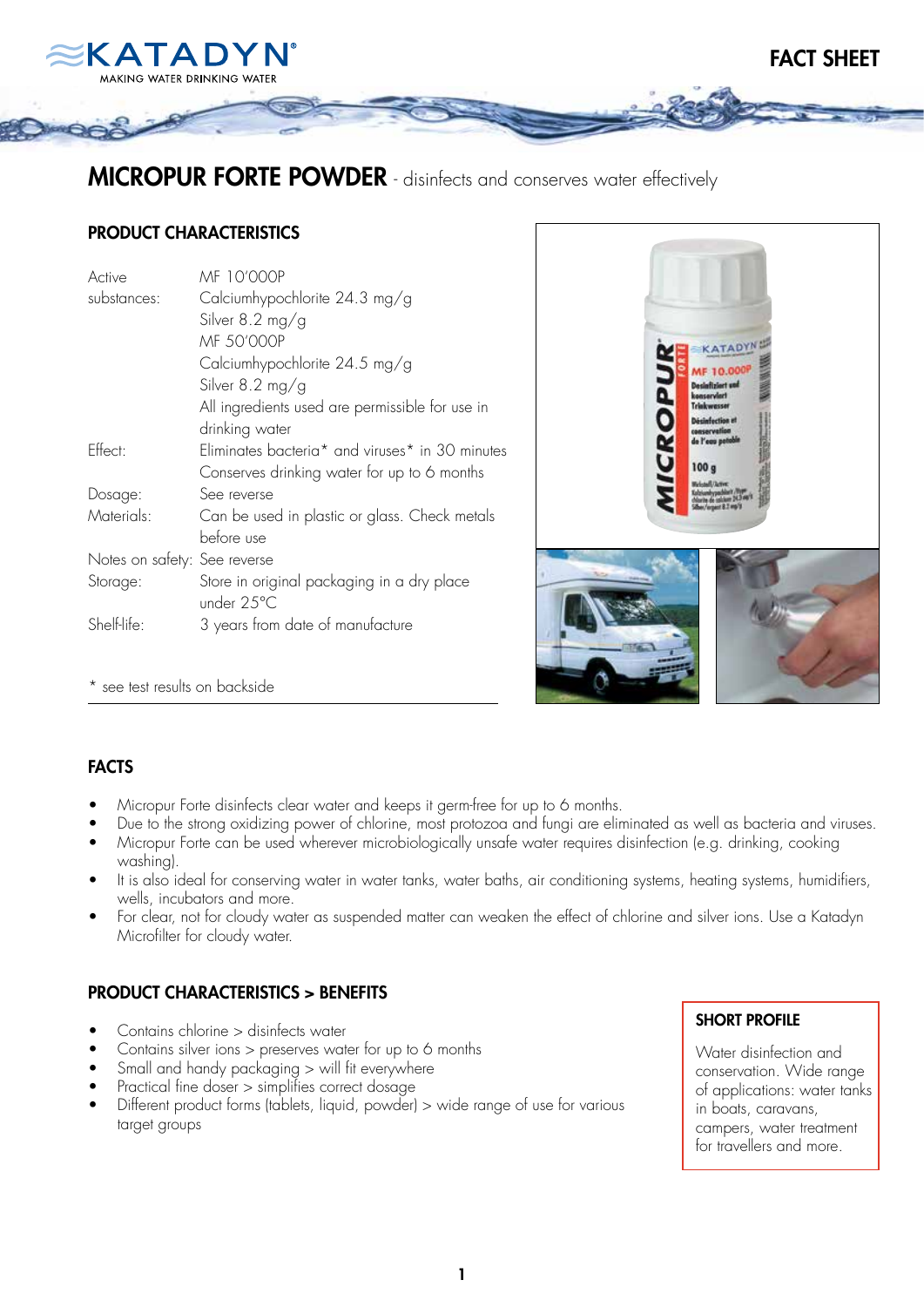

# MICROPUR FORTE POWDER - disinfects and conserves water effectively

## PRODUCT CHARACTERISTICS

| MF 10'000P                                                              |
|-------------------------------------------------------------------------|
| Calciumhypochlorite 24.3 mg/g                                           |
| Silver $8.2 \text{ mg/g}$                                               |
| MF 50'000P                                                              |
| Calciumhypochlorite 24.5 mg/g                                           |
| Silver 8.2 mg/g                                                         |
| All ingredients used are permissible for use in                         |
| drinking water                                                          |
| Eliminates bacteria <sup>*</sup> and viruses <sup>*</sup> in 30 minutes |
| Conserves drinking water for up to 6 months                             |
| See reverse                                                             |
| Can be used in plastic or glass. Check metals                           |
| before use                                                              |
| Notes on safety: See reverse                                            |
| Store in original packaging in a dry place<br>under 25°C                |
| 3 years from date of manufacture                                        |
|                                                                         |



FACT SHEET

\* see test results on backside

### FACTS

- Micropur Forte disinfects clear water and keeps it germ-free for up to 6 months.
- Due to the strong oxidizing power of chlorine, most protozoa and fungi are eliminated as well as bacteria and viruses.
- Micropur Forte can be used wherever microbiologically unsafe water requires disinfection (e.g. drinking, cooking washing).
- It is also ideal for conserving water in water tanks, water baths, air conditioning systems, heating systems, humidifiers, wells, incubators and more.
- For clear, not for cloudy water as suspended matter can weaken the effect of chlorine and silver ions. Use a Katadyn Microfilter for cloudy water.

# PRODUCT CHARACTERISTICS > BENEFITS

- Contains chlorine > disinfects water
- Contains silver ions > preserves water for up to 6 months
- $S$ mall and handy packaging  $>$  will fit everywhere
- Practical fine doser  $>$  simplifies correct dosage
- Different product forms (tablets, liquid, powder) > wide range of use for various target groups

### SHORT PROFILE

Water disinfection and conservation. Wide range of applications: water tanks in boats, caravans, campers, water treatment for travellers and more.